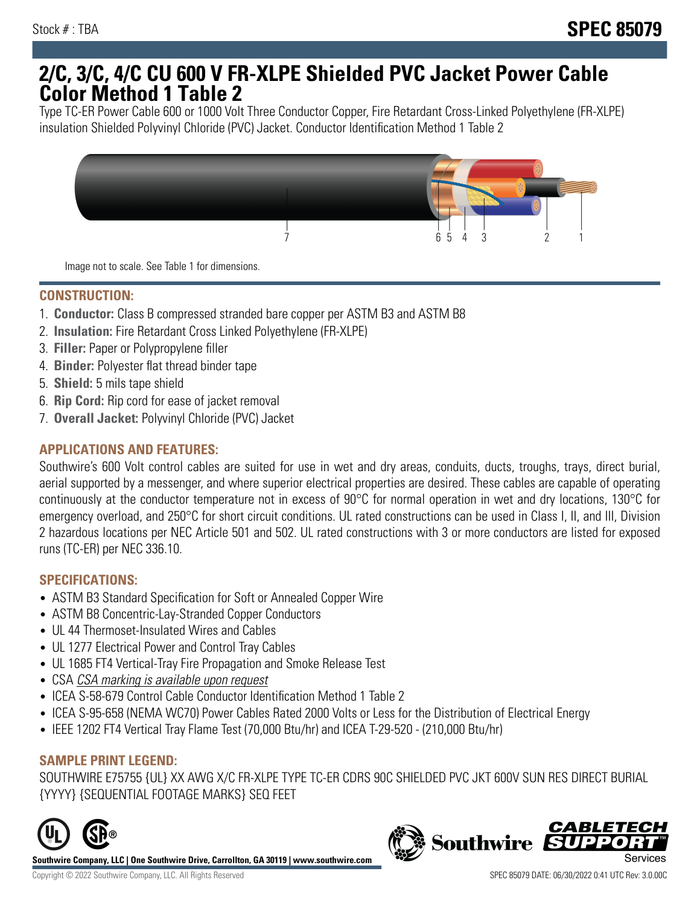# **2/C, 3/C, 4/C CU 600 V FR-XLPE Shielded PVC Jacket Power Cable Color Method 1 Table 2**

Type TC-ER Power Cable 600 or 1000 Volt Three Conductor Copper, Fire Retardant Cross-Linked Polyethylene (FR-XLPE) insulation Shielded Polyvinyl Chloride (PVC) Jacket. Conductor Identification Method 1 Table 2



Image not to scale. See Table 1 for dimensions.

## **CONSTRUCTION:**

- 1. **Conductor:** Class B compressed stranded bare copper per ASTM B3 and ASTM B8
- 2. **Insulation:** Fire Retardant Cross Linked Polyethylene (FR-XLPE)
- 3. **Filler:** Paper or Polypropylene filler
- 4. **Binder:** Polyester flat thread binder tape
- 5. **Shield:** 5 mils tape shield
- 6. **Rip Cord:** Rip cord for ease of jacket removal
- 7. **Overall Jacket:** Polyvinyl Chloride (PVC) Jacket

### **APPLICATIONS AND FEATURES:**

Southwire's 600 Volt control cables are suited for use in wet and dry areas, conduits, ducts, troughs, trays, direct burial, aerial supported by a messenger, and where superior electrical properties are desired. These cables are capable of operating continuously at the conductor temperature not in excess of 90°C for normal operation in wet and dry locations, 130°C for emergency overload, and 250°C for short circuit conditions. UL rated constructions can be used in Class I, II, and III, Division 2 hazardous locations per NEC Article 501 and 502. UL rated constructions with 3 or more conductors are listed for exposed runs (TC-ER) per NEC 336.10.

#### **SPECIFICATIONS:**

- ASTM B3 Standard Specification for Soft or Annealed Copper Wire
- ASTM B8 Concentric-Lay-Stranded Copper Conductors
- UL 44 Thermoset-Insulated Wires and Cables
- UL 1277 Electrical Power and Control Tray Cables
- UL 1685 FT4 Vertical-Tray Fire Propagation and Smoke Release Test
- CSA CSA marking is available upon request
- ICEA S-58-679 Control Cable Conductor Identification Method 1 Table 2
- ICEA S-95-658 (NEMA WC70) Power Cables Rated 2000 Volts or Less for the Distribution of Electrical Energy
- IEEE 1202 FT4 Vertical Tray Flame Test (70,000 Btu/hr) and ICEA T-29-520 (210,000 Btu/hr)

#### **SAMPLE PRINT LEGEND:**

SOUTHWIRE E75755 {UL} XX AWG X/C FR-XLPE TYPE TC-ER CDRS 90C SHIELDED PVC JKT 600V SUN RES DIRECT BURIAL {YYYY} {SEQUENTIAL FOOTAGE MARKS} SEQ FEET



**Southwire Company, LLC | One Southwire Drive, Carrollton, GA 30119 | www.southwire.com**